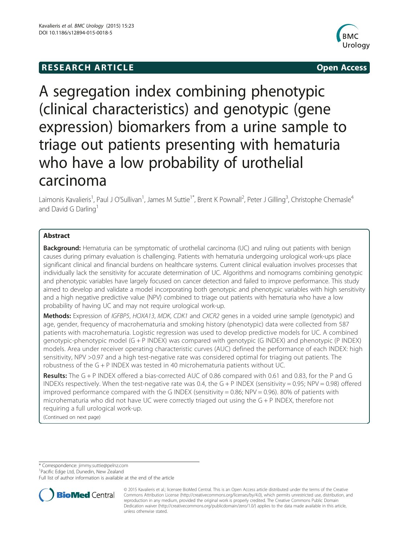# **RESEARCH ARTICLE Example 2014 The SEAR CH ACCESS**



# A segregation index combining phenotypic (clinical characteristics) and genotypic (gene expression) biomarkers from a urine sample to triage out patients presenting with hematuria who have a low probability of urothelial carcinoma

Laimonis Kavalieris<sup>1</sup>, Paul J O'Sullivan<sup>1</sup>, James M Suttie<sup>1\*</sup>, Brent K Pownall<sup>2</sup>, Peter J Gilling<sup>3</sup>, Christophe Chemasle<sup>4</sup> and David G Darling<sup>1</sup>

# Abstract

**Background:** Hematuria can be symptomatic of urothelial carcinoma (UC) and ruling out patients with benign causes during primary evaluation is challenging. Patients with hematuria undergoing urological work-ups place significant clinical and financial burdens on healthcare systems. Current clinical evaluation involves processes that individually lack the sensitivity for accurate determination of UC. Algorithms and nomograms combining genotypic and phenotypic variables have largely focused on cancer detection and failed to improve performance. This study aimed to develop and validate a model incorporating both genotypic and phenotypic variables with high sensitivity and a high negative predictive value (NPV) combined to triage out patients with hematuria who have a low probability of having UC and may not require urological work-up.

Methods: Expression of IGFBP5, HOXA13, MDK, CDK1 and CXCR2 genes in a voided urine sample (genotypic) and age, gender, frequency of macrohematuria and smoking history (phenotypic) data were collected from 587 patients with macrohematuria. Logistic regression was used to develop predictive models for UC. A combined genotypic-phenotypic model (G + P INDEX) was compared with genotypic (G INDEX) and phenotypic (P INDEX) models. Area under receiver operating characteristic curves (AUC) defined the performance of each INDEX: high sensitivity, NPV >0.97 and a high test-negative rate was considered optimal for triaging out patients. The robustness of the G + P INDEX was tested in 40 microhematuria patients without UC.

Results: The G + P INDEX offered a bias-corrected AUC of 0.86 compared with 0.61 and 0.83, for the P and G INDEXs respectively. When the test-negative rate was 0.4, the  $G + P$  INDEX (sensitivity = 0.95; NPV = 0.98) offered improved performance compared with the G INDEX (sensitivity =  $0.86$ ; NPV =  $0.96$ ). 80% of patients with microhematuria who did not have UC were correctly triaged out using the G + P INDEX, therefore not requiring a full urological work-up.

(Continued on next page)

\* Correspondence: [jimmy.suttie@pelnz.com](mailto:jimmy.suttie@pelnz.com) <sup>1</sup>

<sup>1</sup> Pacific Edge Ltd, Dunedin, New Zealand

Full list of author information is available at the end of the article



<sup>© 2015</sup> Kavalieris et al.; licensee BioMed Central. This is an Open Access article distributed under the terms of the Creative Commons Attribution License [\(http://creativecommons.org/licenses/by/4.0\)](http://creativecommons.org/licenses/by/4.0), which permits unrestricted use, distribution, and reproduction in any medium, provided the original work is properly credited. The Creative Commons Public Domain Dedication waiver [\(http://creativecommons.org/publicdomain/zero/1.0/](http://creativecommons.org/publicdomain/zero/1.0/)) applies to the data made available in this article, unless otherwise stated.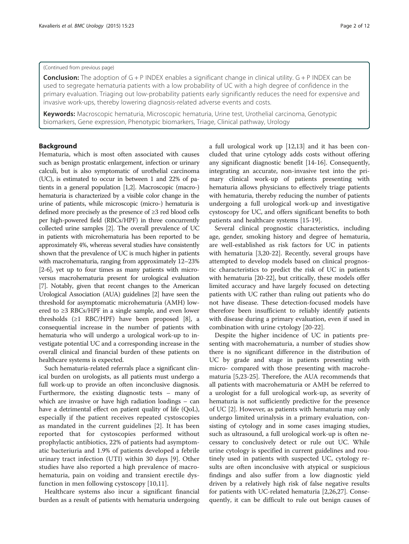#### (Continued from previous page)

**Conclusion:** The adoption of  $G + P$  INDEX enables a significant change in clinical utility.  $G + P$  INDEX can be used to segregate hematuria patients with a low probability of UC with a high degree of confidence in the primary evaluation. Triaging out low-probability patients early significantly reduces the need for expensive and invasive work-ups, thereby lowering diagnosis-related adverse events and costs.

Keywords: Macroscopic hematuria, Microscopic hematuria, Urine test, Urothelial carcinoma, Genotypic biomarkers, Gene expression, Phenotypic biomarkers, Triage, Clinical pathway, Urology

## Background

Hematuria, which is most often associated with causes such as benign prostatic enlargement, infection or urinary calculi, but is also symptomatic of urothelial carcinoma (UC), is estimated to occur in between 1 and 22% of patients in a general population [\[1,2\]](#page-10-0). Macroscopic (macro-) hematuria is characterized by a visible color change in the urine of patients, while microscopic (micro-) hematuria is defined more precisely as the presence of ≥3 red blood cells per high-powered field (RBCs/HPF) in three concurrently collected urine samples [\[2](#page-10-0)]. The overall prevalence of UC in patients with microhematuria has been reported to be approximately 4%, whereas several studies have consistently shown that the prevalence of UC is much higher in patients with macrohematuria, ranging from approximately 12–23% [[2](#page-10-0)-[6\]](#page-10-0), yet up to four times as many patients with microversus macrohematuria present for urological evaluation [[7](#page-10-0)]. Notably, given that recent changes to the American Urological Association (AUA) guidelines [[2](#page-10-0)] have seen the threshold for asymptomatic microhematuria (AMH) lowered to ≥3 RBCs/HPF in a single sample, and even lower thresholds  $(\geq 1$  RBC/HPF) have been proposed [[8\]](#page-10-0), a consequential increase in the number of patients with hematuria who will undergo a urological work-up to investigate potential UC and a corresponding increase in the overall clinical and financial burden of these patients on healthcare systems is expected.

Such hematuria-related referrals place a significant clinical burden on urologists, as all patients must undergo a full work-up to provide an often inconclusive diagnosis. Furthermore, the existing diagnostic tests – many of which are invasive or have high radiation loadings – can have a detrimental effect on patient quality of life (QoL), especially if the patient receives repeated cystoscopies as mandated in the current guidelines [[2\]](#page-10-0). It has been reported that for cystoscopies performed without prophylactic antibiotics, 22% of patients had asymptomatic bacteriuria and 1.9% of patients developed a febrile urinary tract infection (UTI) within 30 days [[9\]](#page-10-0). Other studies have also reported a high prevalence of macrohematuria, pain on voiding and transient erectile dysfunction in men following cystoscopy [[10,11](#page-10-0)].

Healthcare systems also incur a significant financial burden as a result of patients with hematuria undergoing a full urological work up [\[12,13\]](#page-10-0) and it has been concluded that urine cytology adds costs without offering any significant diagnostic benefit [\[14](#page-10-0)-[16\]](#page-10-0). Consequently, integrating an accurate, non-invasive test into the primary clinical work-up of patients presenting with hematuria allows physicians to effectively triage patients with hematuria, thereby reducing the number of patients undergoing a full urological work-up and investigative cystoscopy for UC, and offers significant benefits to both patients and healthcare systems [\[15](#page-10-0)-[19\]](#page-10-0).

Several clinical prognostic characteristics, including age, gender, smoking history and degree of hematuria, are well-established as risk factors for UC in patients with hematuria [\[3,20](#page-10-0)-[22\]](#page-10-0). Recently, several groups have attempted to develop models based on clinical prognostic characteristics to predict the risk of UC in patients with hematuria [[20-22\]](#page-10-0), but critically, these models offer limited accuracy and have largely focused on detecting patients with UC rather than ruling out patients who do not have disease. These detection-focused models have therefore been insufficient to reliably identify patients with disease during a primary evaluation, even if used in combination with urine cytology [\[20](#page-10-0)-[22\]](#page-10-0).

Despite the higher incidence of UC in patients presenting with macrohematuria, a number of studies show there is no significant difference in the distribution of UC by grade and stage in patients presenting with micro- compared with those presenting with macrohematuria [[5,23-25\]](#page-10-0). Therefore, the AUA recommends that all patients with macrohematuria or AMH be referred to a urologist for a full urological work-up, as severity of hematuria is not sufficiently predictive for the presence of UC [[2](#page-10-0)]. However, as patients with hematuria may only undergo limited urinalysis in a primary evaluation, consisting of cytology and in some cases imaging studies, such as ultrasound, a full urological work-up is often necessary to conclusively detect or rule out UC. While urine cytology is specified in current guidelines and routinely used in patients with suspected UC, cytology results are often inconclusive with atypical or suspicious findings and also suffer from a low diagnostic yield driven by a relatively high risk of false negative results for patients with UC-related hematuria [\[2,26,27](#page-10-0)]. Consequently, it can be difficult to rule out benign causes of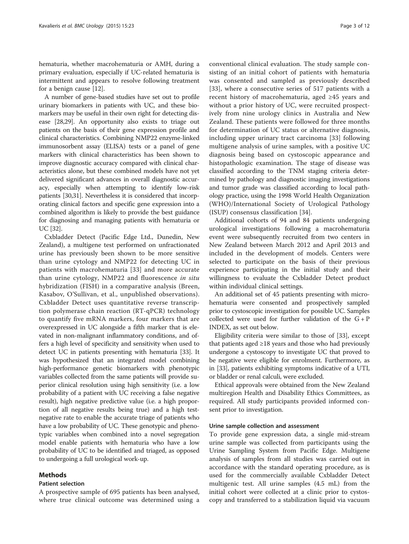hematuria, whether macrohematuria or AMH, during a primary evaluation, especially if UC-related hematuria is intermittent and appears to resolve following treatment for a benign cause [[12](#page-10-0)].

A number of gene-based studies have set out to profile urinary biomarkers in patients with UC, and these biomarkers may be useful in their own right for detecting disease [\[28,29\]](#page-10-0). An opportunity also exists to triage out patients on the basis of their gene expression profile and clinical characteristics. Combining NMP22 enzyme-linked immunosorbent assay (ELISA) tests or a panel of gene markers with clinical characteristics has been shown to improve diagnostic accuracy compared with clinical characteristics alone, but these combined models have not yet delivered significant advances in overall diagnostic accuracy, especially when attempting to identify low-risk patients [\[30,31\]](#page-10-0). Nevertheless it is considered that incorporating clinical factors and specific gene expression into a combined algorithm is likely to provide the best guidance for diagnosing and managing patients with hematuria or UC [\[32\]](#page-10-0).

Cxbladder Detect (Pacific Edge Ltd., Dunedin, New Zealand), a multigene test performed on unfractionated urine has previously been shown to be more sensitive than urine cytology and NMP22 for detecting UC in patients with macrohematuria [[33](#page-10-0)] and more accurate than urine cytology, NMP22 and fluorescence in situ hybridization (FISH) in a comparative analysis (Breen, Kasabov, O'Sullivan, et al., unpublished observations). Cxbladder Detect uses quantitative reverse transcription polymerase chain reaction (RT-qPCR) technology to quantify five mRNA markers, four markers that are overexpressed in UC alongside a fifth marker that is elevated in non-malignant inflammatory conditions, and offers a high level of specificity and sensitivity when used to detect UC in patients presenting with hematuria [\[33](#page-10-0)]. It was hypothesized that an integrated model combining high-performance genetic biomarkers with phenotypic variables collected from the same patients will provide superior clinical resolution using high sensitivity (i.e. a low probability of a patient with UC receiving a false negative result), high negative predictive value (i.e. a high proportion of all negative results being true) and a high testnegative rate to enable the accurate triage of patients who have a low probability of UC. These genotypic and phenotypic variables when combined into a novel segregation model enable patients with hematuria who have a low probability of UC to be identified and triaged, as opposed to undergoing a full urological work-up.

# Methods

## Patient selection

A prospective sample of 695 patients has been analysed, where true clinical outcome was determined using a

conventional clinical evaluation. The study sample consisting of an initial cohort of patients with hematuria was consented and sampled as previously described [[33\]](#page-10-0), where a consecutive series of 517 patients with a recent history of macrohematuria, aged ≥45 years and without a prior history of UC, were recruited prospectively from nine urology clinics in Australia and New Zealand. These patients were followed for three months for determination of UC status or alternative diagnosis, including upper urinary tract carcinoma [[33](#page-10-0)] following multigene analysis of urine samples, with a positive UC diagnosis being based on cystoscopic appearance and histopathologic examination. The stage of disease was classified according to the TNM staging criteria determined by pathology and diagnostic imaging investigations and tumor grade was classified according to local pathology practice, using the 1998 World Health Organization (WHO)/International Society of Urological Pathology (ISUP) consensus classification [\[34](#page-10-0)].

Additional cohorts of 94 and 84 patients undergoing urological investigations following a macrohematuria event were subsequently recruited from two centers in New Zealand between March 2012 and April 2013 and included in the development of models. Centers were selected to participate on the basis of their previous experience participating in the initial study and their willingness to evaluate the Cxbladder Detect product within individual clinical settings.

An additional set of 45 patients presenting with microhematuria were consented and prospectively sampled prior to cystoscopic investigation for possible UC. Samples collected were used for further validation of the  $G + P$ INDEX, as set out below.

Eligibility criteria were similar to those of [[33](#page-10-0)], except that patients aged ≥18 years and those who had previously undergone a cystoscopy to investigate UC that proved to be negative were eligible for enrolment. Furthermore, as in [[33\]](#page-10-0), patients exhibiting symptoms indicative of a UTI, or bladder or renal calculi, were excluded.

Ethical approvals were obtained from the New Zealand multiregion Health and Disability Ethics Committees, as required. All study participants provided informed consent prior to investigation.

#### Urine sample collection and assessment

To provide gene expression data, a single mid-stream urine sample was collected from participants using the Urine Sampling System from Pacific Edge. Multigene analysis of samples from all studies was carried out in accordance with the standard operating procedure, as is used for the commercially available Cxbladder Detect multigenic test. All urine samples (4.5 mL) from the initial cohort were collected at a clinic prior to cystoscopy and transferred to a stabilization liquid via vacuum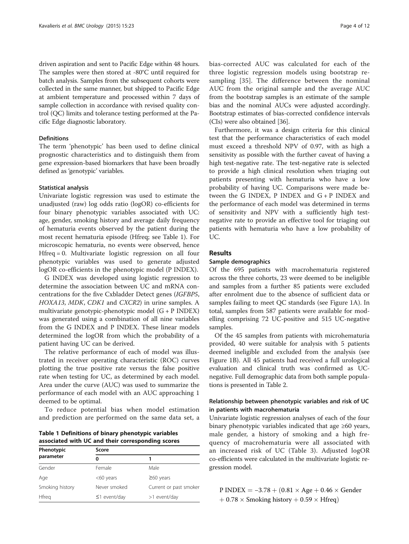<span id="page-3-0"></span>driven aspiration and sent to Pacific Edge within 48 hours. The samples were then stored at -80°C until required for batch analysis. Samples from the subsequent cohorts were collected in the same manner, but shipped to Pacific Edge at ambient temperature and processed within 7 days of sample collection in accordance with revised quality control (QC) limits and tolerance testing performed at the Pacific Edge diagnostic laboratory.

# Definitions

The term 'phenotypic' has been used to define clinical prognostic characteristics and to distinguish them from gene expression-based biomarkers that have been broadly defined as 'genotypic' variables.

#### Statistical analysis

Univariate logistic regression was used to estimate the unadjusted (raw) log odds ratio (logOR) co-efficients for four binary phenotypic variables associated with UC: age, gender, smoking history and average daily frequency of hematuria events observed by the patient during the most recent hematuria episode (Hfreq; see Table 1). For microscopic hematuria, no events were observed, hence Hfreq = 0. Multivariate logistic regression on all four phenotypic variables was used to generate adjusted logOR co-efficients in the phenotypic model (P INDEX).

G INDEX was developed using logistic regression to determine the association between UC and mRNA concentrations for the five Cxbladder Detect genes (IGFBP5, HOXA13, MDK, CDK1 and CXCR2) in urine samples. A multivariate genotypic-phenotypic model (G + P INDEX) was generated using a combination of all nine variables from the G INDEX and P INDEX. These linear models determined the logOR from which the probability of a patient having UC can be derived.

The relative performance of each of model was illustrated in receiver operating characteristic (ROC) curves plotting the true positive rate versus the false positive rate when testing for UC, as determined by each model. Area under the curve (AUC) was used to summarize the performance of each model with an AUC approaching 1 deemed to be optimal.

To reduce potential bias when model estimation and prediction are performed on the same data set, a

Table 1 Definitions of binary phenotypic variables associated with UC and their corresponding scores

| Phenotypic      | Score              |                        |  |  |
|-----------------|--------------------|------------------------|--|--|
| parameter       | 0                  |                        |  |  |
| Gender          | Female             | Male                   |  |  |
| Age             | $<$ 60 years       | $\geq 60$ years        |  |  |
| Smoking history | Never smoked       | Current or past smoker |  |  |
| <b>Hfreg</b>    | $\leq$ 1 event/day | >1 event/day           |  |  |

bias-corrected AUC was calculated for each of the three logistic regression models using bootstrap resampling [[35](#page-10-0)]. The difference between the nominal AUC from the original sample and the average AUC from the bootstrap samples is an estimate of the sample bias and the nominal AUCs were adjusted accordingly. Bootstrap estimates of bias-corrected confidence intervals (CIs) were also obtained [\[36\]](#page-10-0).

Furthermore, it was a design criteria for this clinical test that the performance characteristics of each model must exceed a threshold NPV of 0.97, with as high a sensitivity as possible with the further caveat of having a high test-negative rate. The test-negative rate is selected to provide a high clinical resolution when triaging out patients presenting with hematuria who have a low probability of having UC. Comparisons were made between the G INDEX,  $P$  INDEX and  $G + P$  INDEX and the performance of each model was determined in terms of sensitivity and NPV with a sufficiently high testnegative rate to provide an effective tool for triaging out patients with hematuria who have a low probability of UC.

## Results

## Sample demographics

Of the 695 patients with macrohematuria registered across the three cohorts, 23 were deemed to be ineligible and samples from a further 85 patients were excluded after enrolment due to the absence of sufficient data or samples failing to meet QC standards (see Figure [1A](#page-4-0)). In total, samples from 587 patients were available for modelling comprising 72 UC-positive and 515 UC-negative samples.

Of the 45 samples from patients with microhematuria provided, 40 were suitable for analysis with 5 patients deemed ineligible and excluded from the analysis (see Figure [1B](#page-4-0)). All 45 patients had received a full urological evaluation and clinical truth was confirmed as UCnegative. Full demographic data from both sample populations is presented in Table [2.](#page-4-0)

# Relationship between phenotypic variables and risk of UC in patients with macrohematuria

Univariate logistic regression analyses of each of the four binary phenotypic variables indicated that age ≥60 years, male gender, a history of smoking and a high frequency of macrohematuria were all associated with an increased risk of UC (Table [3](#page-5-0)). Adjusted logOR co-efficients were calculated in the multivariate logistic regression model.

P INDEX =  $-3.78 + (0.81 \times \text{Age} + 0.46 \times \text{Gender})$  $+$  0.78  $\times$  Smoking history  $+$  0.59  $\times$  Hfreq)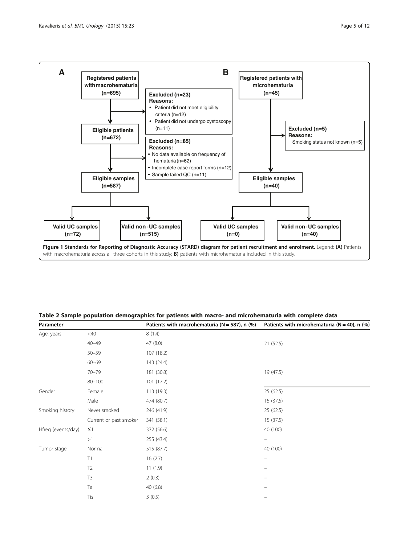

<span id="page-4-0"></span>

| Table 2 Sample population demographics for patients with macro- and microhematuria with complete data |  |  |  |  |
|-------------------------------------------------------------------------------------------------------|--|--|--|--|
|-------------------------------------------------------------------------------------------------------|--|--|--|--|

| Parameter          |                        | Patients with macrohematuria ( $N = 587$ ), n (%) | Patients with microhematuria ( $N = 40$ ), n (%) |
|--------------------|------------------------|---------------------------------------------------|--------------------------------------------------|
| Age, years         | $<$ 40                 | 8(1.4)                                            |                                                  |
|                    | $40 - 49$              | 47 (8.0)                                          | 21 (52.5)                                        |
|                    | $50 - 59$              | 107 (18.2)                                        |                                                  |
|                    | $60 - 69$              | 143 (24.4)                                        |                                                  |
|                    | $70 - 79$              | 181 (30.8)                                        | 19 (47.5)                                        |
|                    | $80 - 100$             | 101 (17.2)                                        |                                                  |
| Gender             | Female                 | 113 (19.3)                                        | 25 (62.5)                                        |
|                    | Male                   | 474 (80.7)                                        | 15(37.5)                                         |
| Smoking history    | Never smoked           | 246 (41.9)                                        | 25 (62.5)                                        |
|                    | Current or past smoker | 341 (58.1)                                        | 15 (37.5)                                        |
| Hfreq (events/day) | $\leq$ 1               | 332 (56.6)                                        | 40 (100)                                         |
|                    | >1                     | 255 (43.4)                                        |                                                  |
| Tumor stage        | Normal                 | 515 (87.7)                                        | 40 (100)                                         |
|                    | T1                     | 16(2.7)                                           |                                                  |
|                    | T <sub>2</sub>         | 11(1.9)                                           |                                                  |
|                    | T <sub>3</sub>         | 2(0.3)                                            |                                                  |
|                    | Ta                     | 40(6.8)                                           |                                                  |
|                    | Tis                    | 3(0.5)                                            |                                                  |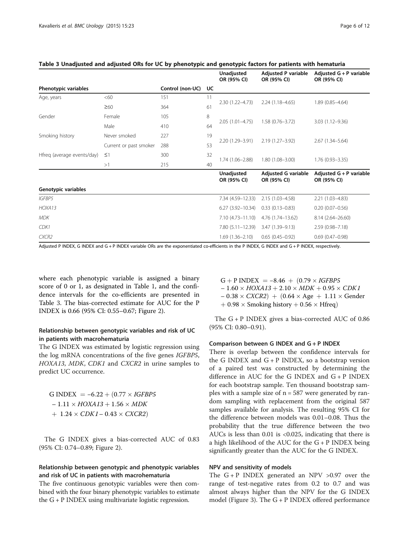|                            |                        |                  |     | Unadjusted<br>OR (95% CI) | <b>Adjusted P variable</b><br>OR (95% CI) | Adjusted $G + P$ variable<br>OR (95% CI) |
|----------------------------|------------------------|------------------|-----|---------------------------|-------------------------------------------|------------------------------------------|
| Phenotypic variables       |                        | Control (non-UC) | UC. |                           |                                           |                                          |
| Age, years                 | <60                    | 151              | 11  | $2.30(1.22 - 4.73)$       | $2.24(1.18 - 4.65)$                       | 1.89 (0.85-4.64)                         |
|                            | $\geq 60$              | 364              | 61  |                           |                                           |                                          |
| Gender                     | Female                 | 105              | 8   |                           | $1.58(0.76 - 3.72)$                       | $3.03(1.12 - 9.36)$                      |
|                            | Male                   | 410              | 64  | $2.05(1.01 - 4.75)$       |                                           |                                          |
| Smoking history            | Never smoked           | 227              | 19  |                           | $2.19(1.27 - 3.92)$                       | $2.67(1.34 - 5.64)$                      |
|                            | Current or past smoker | 288              | 53  | $2.20(1.29 - 3.91)$       |                                           |                                          |
| Hfreg (average events/day) | $\leq$ 1               | 300              | 32  | 1.74 (1.06-2.88)          | $1.80(1.08 - 3.00)$                       | $1.76(0.93 - 3.35)$                      |
|                            | >1                     | 215              | 40  |                           |                                           |                                          |
|                            |                        |                  |     | Unadjusted<br>OR (95% CI) | <b>Adjusted G variable</b><br>OR (95% CI) | Adjusted $G + P$ variable<br>OR (95% CI) |
| Genotypic variables        |                        |                  |     |                           |                                           |                                          |
| IGFBP5                     |                        |                  |     | 7.34 (4.59-12.33)         | $2.15(1.03 - 4.58)$                       | $2.21(1.03 - 4.83)$                      |
| HOXA13                     |                        |                  |     | $6.27(3.92 - 10.34)$      | $0.33(0.13 - 0.83)$                       | $0.20(0.07 - 0.56)$                      |
| <b>MDK</b>                 |                        |                  |     | $7.10(4.73 - 11.10)$      | 4.76 (1.74-13.62)                         | $8.14(2.64 - 26.60)$                     |
| CDK1                       |                        |                  |     | 7.80 (5.11-12.39)         | 3.47 (1.39-9.13)                          | $2.59(0.98 - 7.18)$                      |
| CXCR2                      |                        |                  |     | $1.69(1.36 - 2.10)$       | $0.65(0.45 - 0.92)$                       | $0.69(0.47 - 0.98)$                      |

#### <span id="page-5-0"></span>Table 3 Unadjusted and adjusted ORs for UC by phenotypic and genotypic factors for patients with hematuria

Adjusted P INDEX, G INDEX and G + P INDEX variable ORs are the exponentiated co-efficients in the P INDEX, G INDEX and G + P INDEX, respectively.

where each phenotypic variable is assigned a binary score of 0 or 1, as designated in Table [1,](#page-3-0) and the confidence intervals for the co-efficients are presented in Table 3. The bias-corrected estimate for AUC for the P INDEX is 0.66 (95% CI: 0.55–0.67; Figure [2](#page-6-0)).

# Relationship between genotypic variables and risk of UC in patients with macrohematuria

The G INDEX was estimated by logistic regression using the log mRNA concentrations of the five genes IGFBP5, HOXA13, MDK, CDK1 and CXCR2 in urine samples to predict UC occurrence.

G INDEX =  $-6.22 + (0.77 \times \text{IGFBPS})$  $-1.11 \times HOXA13 + 1.56 \times MDK$  $+ 1.24 \times CDK1 - 0.43 \times CXCR2$ 

The G INDEX gives a bias-corrected AUC of 0.83 (95% CI: 0.74–0.89; Figure [2\)](#page-6-0).

# Relationship between genotypic and phenotypic variables and risk of UC in patients with macrohematuria

The five continuous genotypic variables were then combined with the four binary phenotypic variables to estimate the G + P INDEX using multivariate logistic regression.

 $G + P$  INDEX = -8.46  $+$  (0.79  $\times$  *IGFBP5*)  $-1.60 \times HOXA13 + 2.10 \times MDK + 0.95 \times CDKI$  $-0.38 \times CXCR2) + (0.64 \times Age + 1.11 \times gender)$  $+$  0.98  $\times$  Smoking history  $+$  0.56  $\times$  Hfreq)

The  $G + P$  INDEX gives a bias-corrected AUC of 0.86 (95% CI: 0.80–0.91).

#### Comparison between G INDEX and G + P INDEX

There is overlap between the confidence intervals for the G INDEX and  $G + P$  INDEX, so a bootstrap version of a paired test was constructed by determining the difference in AUC for the G INDEX and  $G + P$  INDEX for each bootstrap sample. Ten thousand bootstrap samples with a sample size of  $n = 587$  were generated by random sampling with replacement from the original 587 samples available for analysis. The resulting 95% CI for the difference between models was 0.01–0.08. Thus the probability that the true difference between the two AUCs is less than 0.01 is <0.025, indicating that there is a high likelihood of the AUC for the  $G + P$  INDEX being significantly greater than the AUC for the G INDEX.

#### NPV and sensitivity of models

The  $G + P$  INDEX generated an NPV >0.97 over the range of test-negative rates from 0.2 to 0.7 and was almost always higher than the NPV for the G INDEX model (Figure [3\)](#page-7-0). The  $G + P$  INDEX offered performance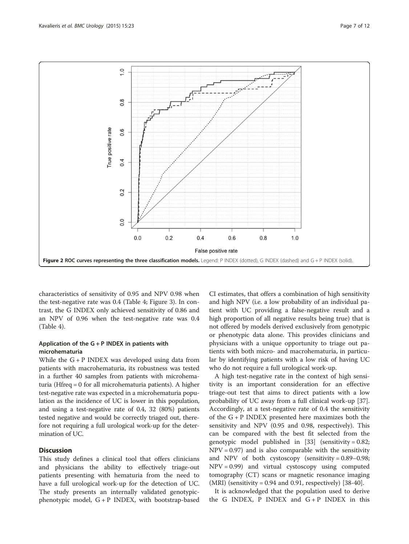<span id="page-6-0"></span>

characteristics of sensitivity of 0.95 and NPV 0.98 when the test-negative rate was 0.4 (Table [4;](#page-8-0) Figure [3\)](#page-7-0). In contrast, the G INDEX only achieved sensitivity of 0.86 and an NPV of 0.96 when the test-negative rate was 0.4 (Table [4\)](#page-8-0).

# Application of the  $G + P$  INDEX in patients with microhematuria

While the  $G + P$  INDEX was developed using data from patients with macrohematuria, its robustness was tested in a further 40 samples from patients with microhematuria (Hfreq = 0 for all microhematuria patients). A higher test-negative rate was expected in a microhematuria population as the incidence of UC is lower in this population, and using a test-negative rate of 0.4, 32 (80%) patients tested negative and would be correctly triaged out, therefore not requiring a full urological work-up for the determination of UC.

# **Discussion**

This study defines a clinical tool that offers clinicians and physicians the ability to effectively triage-out patients presenting with hematuria from the need to have a full urological work-up for the detection of UC. The study presents an internally validated genotypicphenotypic model,  $G + P$  INDEX, with bootstrap-based

CI estimates, that offers a combination of high sensitivity and high NPV (i.e. a low probability of an individual patient with UC providing a false-negative result and a high proportion of all negative results being true) that is not offered by models derived exclusively from genotypic or phenotypic data alone. This provides clinicians and physicians with a unique opportunity to triage out patients with both micro- and macrohematuria, in particular by identifying patients with a low risk of having UC who do not require a full urological work-up.

A high test-negative rate in the context of high sensitivity is an important consideration for an effective triage-out test that aims to direct patients with a low probability of UC away from a full clinical work-up [\[37](#page-10-0)]. Accordingly, at a test-negative rate of 0.4 the sensitivity of the  $G + P$  INDEX presented here maximizes both the sensitivity and NPV (0.95 and 0.98, respectively). This can be compared with the best fit selected from the genotypic model published in  $[33]$  $[33]$  (sensitivity = 0.82;  $NPV = 0.97$ ) and is also comparable with the sensitivity and NPV of both cystoscopy (sensitivity = 0.89–0.98; NPV = 0.99) and virtual cystoscopy using computed tomography (CT) scans or magnetic resonance imaging  $(MRI)$  (sensitivity = 0.94 and 0.91, respectively) [\[38](#page-10-0)[-40](#page-11-0)].

It is acknowledged that the population used to derive the G INDEX, P INDEX and  $G + P$  INDEX in this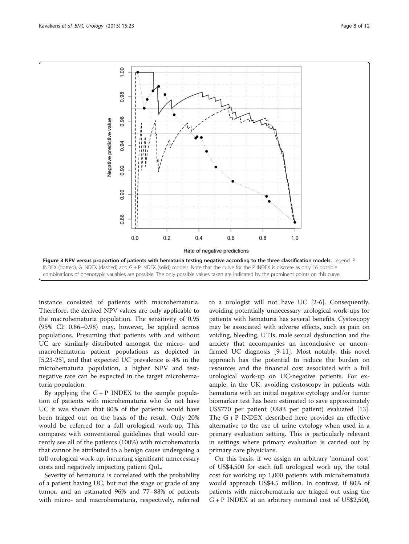<span id="page-7-0"></span>

instance consisted of patients with macrohematuria. Therefore, the derived NPV values are only applicable to the macrohematuria population. The sensitivity of 0.95 (95% CI: 0.86–0.98) may, however, be applied across populations. Presuming that patients with and without UC are similarly distributed amongst the micro- and macrohematuria patient populations as depicted in [[5,23-25](#page-10-0)], and that expected UC prevalence is 4% in the microhematuria population, a higher NPV and testnegative rate can be expected in the target microhematuria population.

By applying the  $G + P$  INDEX to the sample population of patients with microhematuria who do not have UC it was shown that 80% of the patients would have been triaged out on the basis of the result. Only 20% would be referred for a full urological work-up. This compares with conventional guidelines that would currently see all of the patients (100%) with microhematuria that cannot be attributed to a benign cause undergoing a full urological work-up, incurring significant unnecessary costs and negatively impacting patient QoL.

Severity of hematuria is correlated with the probability of a patient having UC, but not the stage or grade of any tumor, and an estimated 96% and 77–88% of patients with micro- and macrohematuria, respectively, referred

to a urologist will not have UC [\[2](#page-10-0)-[6\]](#page-10-0). Consequently, avoiding potentially unnecessary urological work-ups for patients with hematuria has several benefits. Cystoscopy may be associated with adverse effects, such as pain on voiding, bleeding, UTIs, male sexual dysfunction and the anxiety that accompanies an inconclusive or unconfirmed UC diagnosis [[9-11\]](#page-10-0). Most notably, this novel approach has the potential to reduce the burden on resources and the financial cost associated with a full urological work-up on UC-negative patients. For example, in the UK, avoiding cystoscopy in patients with hematuria with an initial negative cytology and/or tumor biomarker test has been estimated to save approximately US\$770 per patient (£483 per patient) evaluated [\[13](#page-10-0)]. The  $G + P$  INDEX described here provides an effective alternative to the use of urine cytology when used in a primary evaluation setting. This is particularly relevant in settings where primary evaluation is carried out by primary care physicians.

On this basis, if we assign an arbitrary 'nominal cost' of US\$4,500 for each full urological work up, the total cost for working up 1,000 patients with microhematuria would approach US\$4.5 million. In contrast, if 80% of patients with microhematuria are triaged out using the  $G + P$  INDEX at an arbitrary nominal cost of US\$2,500,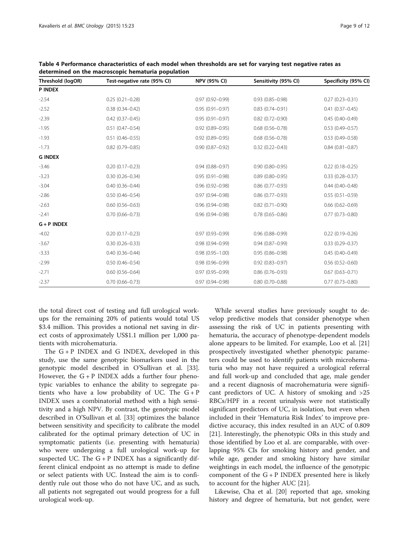| Threshold (logOR) | Test-negative rate (95% CI) | <b>NPV (95% CI)</b> | Sensitivity (95% CI)   | Specificity (95% CI)   |
|-------------------|-----------------------------|---------------------|------------------------|------------------------|
| P INDEX           |                             |                     |                        |                        |
| $-2.54$           | $0.25(0.21 - 0.28)$         | $0.97(0.92 - 0.99)$ | $0.93(0.85 - 0.98)$    | $0.27(0.23 - 0.31)$    |
| $-2.52$           | $0.38(0.34 - 0.42)$         | $0.95(0.91 - 0.97)$ | $0.83(0.74 - 0.91)$    | $0.41(0.37 - 0.45)$    |
| $-2.39$           | $0.42(0.37 - 0.45)$         | $0.95(0.91 - 0.97)$ | $0.82(0.72 - 0.90)$    | $0.45(0.40 - 0.49)$    |
| $-1.95$           | $0.51(0.47 - 0.54)$         | $0.92(0.89 - 0.95)$ | $0.68$ $(0.56 - 0.78)$ | $0.53(0.49 - 0.57)$    |
| $-1.93$           | $0.51(0.46 - 0.55)$         | $0.92(0.89 - 0.95)$ | $0.68(0.56 - 0.78)$    | $0.53(0.49 - 0.58)$    |
| $-1.73$           | $0.82$ (0.79-0.85)          | $0.90(0.87 - 0.92)$ | $0.32(0.22 - 0.43)$    | $0.84(0.81 - 0.87)$    |
| <b>G INDEX</b>    |                             |                     |                        |                        |
| $-3.46$           | $0.20(0.17 - 0.23)$         | $0.94(0.88 - 0.97)$ | $0.90(0.80 - 0.95)$    | $0.22(0.18 - 0.25)$    |
| $-3.23$           | $0.30(0.26 - 0.34)$         | $0.95(0.91 - 0.98)$ | $0.89(0.80 - 0.95)$    | $0.33(0.28 - 0.37)$    |
| $-3.04$           | $0.40(0.36 - 0.44)$         | $0.96(0.92 - 0.98)$ | $0.86(0.77-0.93)$      | $0.44(0.40 - 0.48)$    |
| $-2.86$           | $0.50(0.46 - 0.54)$         | $0.97(0.94 - 0.98)$ | $0.86(0.77-0.93)$      | $0.55(0.51 - 0.59)$    |
| $-2.63$           | $0.60(0.56 - 0.63)$         | $0.96(0.94 - 0.98)$ | $0.82(0.71 - 0.90)$    | $0.66$ $(0.62 - 0.69)$ |
| $-2.41$           | $0.70(0.66 - 0.73)$         | $0.96(0.94 - 0.98)$ | $0.78(0.65 - 0.86)$    | $0.77(0.73 - 0.80)$    |
| $G + P$ INDEX     |                             |                     |                        |                        |
| $-4.02$           | $0.20(0.17 - 0.23)$         | $0.97(0.93 - 0.99)$ | $0.96(0.88 - 0.99)$    | $0.22(0.19 - 0.26)$    |
| $-3.67$           | $0.30(0.26 - 0.33)$         | $0.98(0.94 - 0.99)$ | $0.94(0.87 - 0.99)$    | $0.33(0.29 - 0.37)$    |
| $-3.33$           | $0.40(0.36 - 0.44)$         | $0.98(0.95 - 1.00)$ | $0.95(0.86 - 0.98)$    | $0.45(0.40 - 0.49)$    |
| $-2.99$           | $0.50(0.46 - 0.54)$         | $0.98(0.96 - 0.99)$ | $0.92(0.83 - 0.97)$    | $0.56(0.52 - 0.60)$    |
| $-2.71$           | $0.60(0.56 - 0.64)$         | $0.97(0.95 - 0.99)$ | $0.86(0.76 - 0.93)$    | $0.67(0.63 - 0.71)$    |
| $-2.37$           | $0.70(0.66 - 0.73)$         | $0.97(0.94 - 0.98)$ | $0.80(0.70 - 0.88)$    | $0.77(0.73 - 0.80)$    |

<span id="page-8-0"></span>Table 4 Performance characteristics of each model when thresholds are set for varying test negative rates as determined on the macroscopic hematuria population

the total direct cost of testing and full urological workups for the remaining 20% of patients would total US \$3.4 million. This provides a notional net saving in direct costs of approximately US\$1.1 million per 1,000 patients with microhematuria.

The  $G + P$  INDEX and  $G$  INDEX, developed in this study, use the same genotypic biomarkers used in the genotypic model described in O'Sullivan et al. [\[33](#page-10-0)]. However, the  $G + P$  INDEX adds a further four phenotypic variables to enhance the ability to segregate patients who have a low probability of UC. The  $G + P$ INDEX uses a combinatorial method with a high sensitivity and a high NPV. By contrast, the genotypic model described in O'Sullivan et al. [[33](#page-10-0)] optimizes the balance between sensitivity and specificity to calibrate the model calibrated for the optimal primary detection of UC in symptomatic patients (i.e. presenting with hematuria) who were undergoing a full urological work-up for suspected UC. The  $G + P$  INDEX has a significantly different clinical endpoint as no attempt is made to define or select patients with UC. Instead the aim is to confidently rule out those who do not have UC, and as such, all patients not segregated out would progress for a full urological work-up.

While several studies have previously sought to develop predictive models that consider phenotype when assessing the risk of UC in patients presenting with hematuria, the accuracy of phenotype-dependent models alone appears to be limited. For example, Loo et al. [[21](#page-10-0)] prospectively investigated whether phenotypic parameters could be used to identify patients with microhematuria who may not have required a urological referral and full work-up and concluded that age, male gender and a recent diagnosis of macrohematuria were significant predictors of UC. A history of smoking and >25 RBCs/HPF in a recent urinalysis were not statistically significant predictors of UC, in isolation, but even when included in their 'Hematuria Risk Index' to improve predictive accuracy, this index resulted in an AUC of 0.809 [[21\]](#page-10-0). Interestingly, the phenotypic ORs in this study and those identified by Loo et al. are comparable, with overlapping 95% CIs for smoking history and gender, and while age, gender and smoking history have similar weightings in each model, the influence of the genotypic component of the  $G + P$  INDEX presented here is likely to account for the higher AUC [[21\]](#page-10-0).

Likewise, Cha et al. [\[20\]](#page-10-0) reported that age, smoking history and degree of hematuria, but not gender, were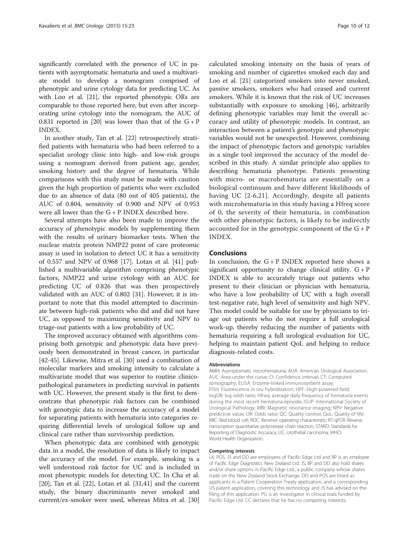significantly correlated with the presence of UC in patients with asymptomatic hematuria and used a multivariate model to develop a nomogram comprised of phenotypic and urine cytology data for predicting UC. As with Loo et al. [\[21](#page-10-0)], the reported phenotypic ORs are comparable to those reported here, but even after incorporating urine cytology into the nomogram, the AUC of 0.831 reported in [\[20](#page-10-0)] was lower than that of the  $G + P$ INDEX.

In another study, Tan et al. [\[22](#page-10-0)] retrospectively stratified patients with hematuria who had been referred to a specialist urology clinic into high- and low-risk groups using a nomogram derived from patient age, gender, smoking history and the degree of hematuria. While comparisons with this study must be made with caution given the high proportion of patients who were excluded due to an absence of data (80 out of 405 patients), the AUC of 0.804, sensitivity of 0.900 and NPV of 0.953 were all lower than the  $G + P$  INDEX described here.

Several attempts have also been made to improve the accuracy of phenotypic models by supplementing them with the results of urinary biomarker tests. When the nuclear matrix protein NMP22 point of care proteomic assay is used in isolation to detect UC it has a sensitivity of 0.557 and NPV of 0.968 [\[17\]](#page-10-0). Lotan et al. [\[41\]](#page-11-0) published a multivariable algorithm comprising phenotypic factors, NMP22 and urine cytology with an AUC for predicting UC of 0.826 that was then prospectively validated with an AUC of 0.802 [\[31](#page-10-0)]. However, it is important to note that this model attempted to discriminate between high-risk patients who did and did not have UC, as opposed to maximizing sensitivity and NPV to triage-out patients with a low probability of UC.

The improved accuracy obtained with algorithms comprising both genotypic and phenotypic data have previously been demonstrated in breast cancer, in particular [[42-45](#page-11-0)]. Likewise, Mitra et al. [\[30\]](#page-10-0) used a combination of molecular markers and smoking intensity to calculate a multivariate model that was superior to routine clinicopathological parameters in predicting survival in patients with UC. However, the present study is the first to demonstrate that phenotypic risk factors can be combined with genotypic data to increase the accuracy of a model for separating patients with hematuria into categories requiring differential levels of urological follow up and clinical care rather than survivorship prediction.

When phenotypic data are combined with genotypic data in a model, the resolution of data is likely to impact the accuracy of the model. For example, smoking is a well understood risk factor for UC and is included in most phenotypic models for detecting UC. In Cha et al.  $[20]$  $[20]$ , Tan et al.  $[22]$  $[22]$ , Lotan et al.  $[31,41]$  $[31,41]$  $[31,41]$  and the current study, the binary discriminants never smoked and current/ex-smoker were used, whereas Mitra et al. [[30](#page-10-0)]

calculated smoking intensity on the basis of years of smoking and number of cigarettes smoked each day and Loo et al. [[21](#page-10-0)] categorized smokers into never smoked, passive smokers, smokers who had ceased and current smokers. While it is known that the risk of UC increases substantially with exposure to smoking [[46\]](#page-11-0), arbitrarily defining phenotypic variables may limit the overall accuracy and utility of phenotypic models. In contrast, an interaction between a patient's genotypic and phenotypic variables would not be unexpected. However, combining the impact of phenotypic factors and genotypic variables in a single tool improved the accuracy of the model described in this study. A similar principle also applies to describing hematuria phenotype. Patients presenting with micro- or macrohematuria are essentially on a biological continuum and have different likelihoods of having UC [[2-6,21](#page-10-0)]. Accordingly, despite all patients with microhematuria in this study having a Hfreq score of 0, the severity of their hematuria, in combination with other phenotypic factors, is likely to be indirectly accounted for in the genotypic component of the  $G + P$ INDEX.

## Conclusions

In conclusion, the  $G + P$  INDEX reported here shows a significant opportunity to change clinical utility.  $G + P$ INDEX is able to accurately triage out patients who present to their clinician or physician with hematuria, who have a low probability of UC with a high overall test-negative rate, high level of sensitivity and high NPV. This model could be suitable for use by physicians to triage out patients who do not require a full urological work-up, thereby reducing the number of patients with hematuria requiring a full urological evaluation for UC, helping to maintain patient QoL and helping to reduce diagnosis-related costs.

#### Abbreviations

AMH: Asymptomatic microhematuria; AUA: American Urological Association; AUC: Area under the curve; CI: Confidence interval; CT: Computed tomography; ELISA: Enzyme-linked immunosorbent assay; FISH: Fluorescence in situ hybridization; HPF: High-powered field; logOR: log odds ratio; Hfreq: average daily frequency of hematuria events during the most recent hematuria episode; ISUP: International Society of Urological Pathology; MRI: Magnetic resonance imaging; NPV: Negative predictive value; OR: Odds ratio; QC: Quality control; QoL: Quality of life; RBC: Red blood cell; ROC: Receiver operating characteristic; RT-qPCR: Reverse transcription quantitative polymerase chain reaction; STARD: Standards for Reporting of Diagnostic Accuracy; UC: Urothelial carcinoma; WHO: World Health Organization.

#### Competing interests

LK, POS, JS and DD are employees of Pacific Edge Ltd and BP is an employee of Pacific Edge Diagnostics New Zealand Ltd. JS, BP and DD also hold shares and/or share options in Pacific Edge Ltd., a public company whose shares trade on the New Zealand Stock Exchange. DD and POS are listed as applicants in a Patent Cooperation Treaty application, and a corresponding US patent application, covering this technology and JS has advised on the filing of this application. PG is an investigator in clinical trials funded by Pacific Edge Ltd. CC declares that he has no competing interests.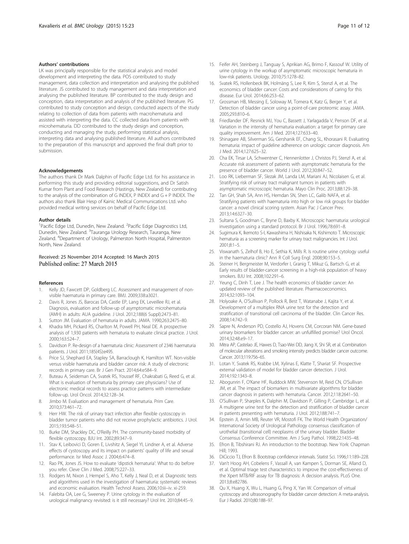#### <span id="page-10-0"></span>Authors' contributions

LK was principally responsible for the statistical analysis and model development and interpreting the data. POS contributed to study management, data collection and interpretation and analysing the published literature. JS contributed to study management and data interpretation and analysing the published literature. BP contributed to the study design and conception, data interpretation and analysis of the published literature. PG contributed to study conception and design, conducted aspects of the study relating to collection of data from patients with macrohematuria and assisted with interpreting the data. CC collected data from patients with microhematuria. DD contributed to the study design and conception, conducting and managing the study, performing statistical analysis, interpreting data and analysing published literature. All authors contributed to the preparation of this manuscript and approved the final draft prior to submission.

#### Acknowledgements

The authors thank Dr Mark Dalphin of Pacific Edge Ltd. for his assistance in performing this study and providing editorial suggestions, and Dr Satish Kumar from Plant and Food Research (Hastings, New Zealand) for contributing to the analysis of the combination of G INDEX, P INDEX and G + P INDEX. The authors also thank Blair Hesp of Kainic Medical Communications Ltd. who provided medical writing services on behalf of Pacific Edge Ltd.

#### Author details

<sup>1</sup>Pacific Edge Ltd, Dunedin, New Zealand. <sup>2</sup>Pacific Edge Diagnostics Ltd, Dunedin, New Zealand. <sup>3</sup>Tauranga Urology Research, Tauranga, New Zealand. <sup>4</sup> Department of Urology, Palmerston North Hospital, Palmerston North, New Zealand.

# Received: 25 November 2014 Accepted: 16 March 2015

#### References

- Kelly JD, Fawcett DP, Goldberg LC. Assessment and management of nonvisible haematuria in primary care. BMJ. 2009;338:a3021.
- 2. Davis R, Jones JS, Barocas DA, Castle EP, Lang EK, Leveillee RJ, et al. Diagnosis, evaluation and follow-up of asymptomatic microhematuria (AMH) in adults: AUA guideline. J Urol. 2012;188(6 Suppl):2473–81.
- 3. Sutton JM. Evaluation of hematuria in adults. JAMA. 1990;263:2475–80.
- 4. Khadra MH, Pickard RS, Charlton M, Powell PH, Neal DE. A prospective analysis of 1,930 patients with hematuria to evaluate clinical practice. J Urol. 2000;163:524–7.
- 5. Davidson P. Re-design of a haematuria clinic: Assessment of 2346 haematuria patients. J Urol. 2011;185(4S):e495.
- 6. Price SJ, Shephard EA, Stapley SA, Barraclough K, Hamilton WT. Non-visible versus visible haematuria and bladder cancer risk: A study of electronic records in primary care. Br J Gen Pract. 2014;64:e584–9.
- 7. Buteau A, Seideman CA, Svatek RS, Youssef RF, Chakrabati G, Reed G, et al. What is evaluation of hematuria by primary care physicians? Use of electronic medical records to assess practice patterns with intermediate follow-up. Urol Oncol. 2014;32:128–34.
- 8. Jimbo M. Evaluation and management of hematuria. Prim Care. 2010;373:461–72.
- 9. Herr HW. The risk of urinary tract infection after flexible cystoscopy in bladder tumor patients who did not receive prophylactic antibiotics. J Urol. 2015;193:548–51.
- 10. Burke DM, Shackley DC, O'Reilly PH. The community-based morbidity of flexible cystoscopy. BJU Int. 2002;89:347–9.
- 11. Stav K, Leibovici D, Goren E, Livshitz A, Siegel YI, Lindner A, et al. Adverse effects of cystoscopy and its impact on patients' quality of life and sexual performance. Isr Med Assoc J. 2004;6:474–8.
- 12. Rao PK, Jones JS. How to evaluate 'dipstick hematuria': What to do before you refer. Cleve Clin J Med. 2008;75:227–33.
- 13. Rodgers M, Nixon J, Hempel S, Aho T, Kelly J, Neal D, et al. Diagnostic tests and algorithms used in the investigation of haematuria: systematic reviews and economic evaluation. Health Technol Assess. 2006;10:iii–iv. xi-259.
- 14. Falebita OA, Lee G, Sweeney P. Urine cytology in the evaluation of urological malignancy revisited: is it still necessary? Urol Int. 2010;84:45–9.
- 15. Feifer AH, Steinberg J, Tanguay S, Aprikian AG, Brimo F, Kassouf W. Utility of urine cytology in the workup of asymptomatic microscopic hematuria in low-risk patients. Urology. 2010;75:1278–82.
- 16. Svatek RS, Hollenbeck BK, Holmäng S, Lee R, Kim S, Stenzl A, et al. The economics of bladder cancer: Costs and considerations of caring for this disease. Eur Urol. 2014;66:253–62.
- 17. Grossman HB, Messing E, Soloway M, Tomera K, Katz G, Berger Y, et al. Detection of bladder cancer using a point-of-care proteomic assay. JAMA. 2005;293:810–6.
- 18. Friedlander DF, Resnick MJ, You C, Bassett J, Yarlagadda V, Penson DF, et al. Variation in the intensity of hematuria evaluation: a target for primary care quality improvement. Am J Med. 2014;127:633–40.
- 19. Shinagare AB, Silverman SG, Gershanik EF, Chang SL, Khorasani R. Evaluating hematuria: impact of guideline adherence on urologic cancer diagnosis. Am J Med. 2014;127:625–32.
- 20. Cha EK, Tirsar LA, Schwentner C, Hennenlotter J, Christos PJ, Stenzl A, et al. Accurate risk assessment of patients with asymptomatic hematuria for the presence of bladder cancer. World J Urol. 2012;30:847–52.
- 21. Loo RK, Lieberman SF, Slezak JM, Landa LM, Mariani AJ, Nicolaisen G, et al. Stratifying risk of urinary tract malignant tumors in patients with asymptomatic microscopic hematuria. Mayo Clin Proc. 2013;88:129–38.
- 22. Tan GH, Shah SA, Ann HS, Hemdan SN, Shen LC, Galib NAFA, et al. Stratifying patients with haematuria into high or low risk groups for bladder cancer: a novel clinical scoring system. Asian Pac J Cancer Prev. 2013;14:6327–30.
- 23. Sultana S, Goodman C, Bryne D, Baxby K. Microscopic haematuria: urological investigation using a standard protocol. Br J Urol. 1996;78:691–8.
- 24. Sugimura K, Ikemoto S-I, Kawashima H, Nishisaka N, Kishimoto T. Microscopic hematuria as a screening marker for urinary tract malignancies. Int J Urol. 2001;8:1–5.
- 25. Viswanath S, Zelhof B, Ho E, Sethia K, Mills R. Is routine urine cytology useful in the haematuria clinic? Ann R Coll Surg Engl. 2008;90:153–5.
- 26. Steiner H, Bergmeister M, Verdorfer I, Granig T, Mikuz G, Bartsch G, et al. Early results of bladder-cancer screening in a high-risk population of heavy smokers. BJU Int. 2008;102:291–6.
- 27. Yeung C, Dinh T, Lee J. The health economics of bladder cancer: An updated review of the published literature. Pharmacoeconomics. 2014;32:1093–104.
- 28. Holyoake A, O'Sullivan P, Pollock R, Best T, Watanabe J, Kajita Y, et al. Development of a multiplex RNA urine test for the detection and stratification of transitional cell carcinoma of the bladder. Clin Cancer Res. 2008;14:742–9.
- 29. Sapre N, Anderson PD, Costello AJ, Hovens CM, Corcoran NM. Gene-based urinary biomarkers for bladder cancer: an unfulfilled promise? Urol Oncol. 2014;32:48.e9–17.
- 30. Mitra AP, Castelao JE, Hawes D, Tsao-Wei DD, Jiang X, Shi SR, et al. Combination of molecular alterations and smoking intensity predicts bladder cancer outcome. Cancer. 2013;119:756–65.
- 31. Lotan Y, Svatek RS, Krabbe LM, Xylinas E, Klatte T, Shariat SF. Prospective external validation of model for bladder cancer detection. J Urol. 2014;192:1343–8.
- 32. Abogunrin F, O'Kane HF, Ruddock MW, Stevenson M, Reid CN, O'Sullivan JM, et al. The impact of biomarkers in multivariate algorithms for bladder cancer diagnosis in patients with hematuria. Cancer. 2012;118:2641–50.
- 33. O'Sullivan P, Sharples K, Dalphin M, Davidson P, Gilling P, Cambridge L, et al. A multigene urine test for the detection and stratification of bladder cancer in patients presenting with hematuria. J Urol. 2012;188:741–7.
- 34. Epstein JI, Amin MB, Reuter VR, Mostofi FK. The World Health Organization/ International Society of Urological Pathology consensus classification of urothelial (transitional cell) neoplasms of the urinary bladder. Bladder Consensus Conference Committee. Am J Surg Pathol. 1998;22:1435–48.
- 35. Efron B, Tibshirani RJ. An introduction to the bootstrap. New York: Chapman Hill; 1993.
- 36. DiCiccio TJ, Efron B. Bootstrap confidence intervals. Statist Sci. 1996;11:189–228.
- 37. Van't Hoog AH, Cobelens F, Vassall A, van Kampen S, Dorman SE, Alland D, et al. Optimal triage test characteristics to improve the cost-effectiveness of the Xpert MTB/RIF assay for TB diagnosis: A decision analysis. PLoS One. 2013;8:e82786.
- 38. Qu X, Huang X, Wu L, Huang G, Ping X, Yan W. Comparison of virtual cystoscopy and ultrasonography for bladder cancer detection: A meta-analysis. Eur J Radiol. 2010;80:188–97.